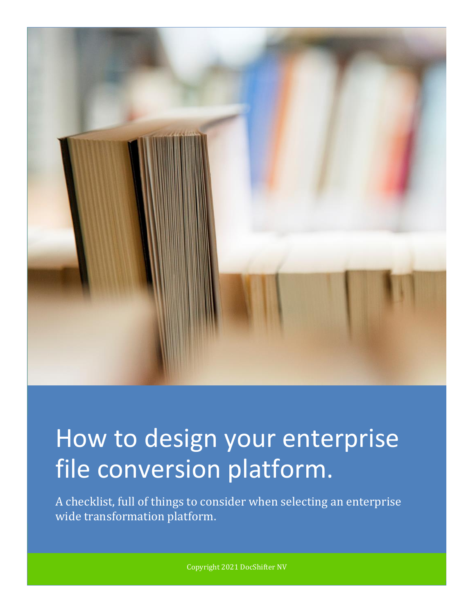

# How to design your enterprise file conversion platform.

A checklist, full of things to consider when selecting an enterprise wide transformation platform.

Copyright 2021 DocShifter NV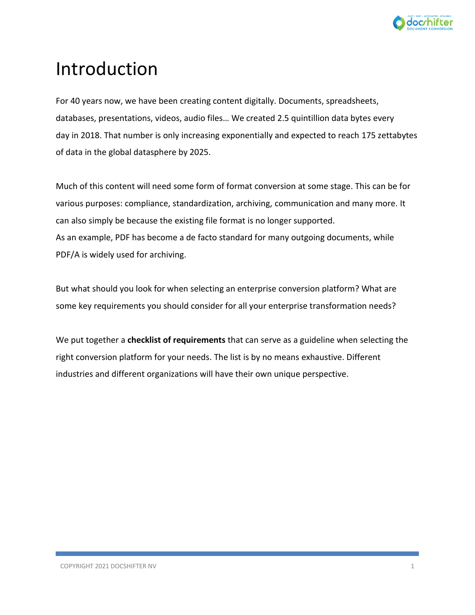

# Introduction

For 40 years now, we have been creating content digitally. Documents, spreadsheets, databases, presentations, videos, audio files… We created 2.5 quintillion data bytes every day in 2018. That number is only increasing exponentially and expected to reach 175 zettabytes of data in the global datasphere by 2025.

Much of this content will need some form of format conversion at some stage. This can be for various purposes: compliance, standardization, archiving, communication and many more. It can also simply be because the existing file format is no longer supported. As an example, PDF has become a de facto standard for many outgoing documents, while PDF/A is widely used for archiving.

But what should you look for when selecting an enterprise conversion platform? What are some key requirements you should consider for all your enterprise transformation needs?

We put together a **checklist of requirements** that can serve as a guideline when selecting the right conversion platform for your needs. The list is by no means exhaustive. Different industries and different organizations will have their own unique perspective.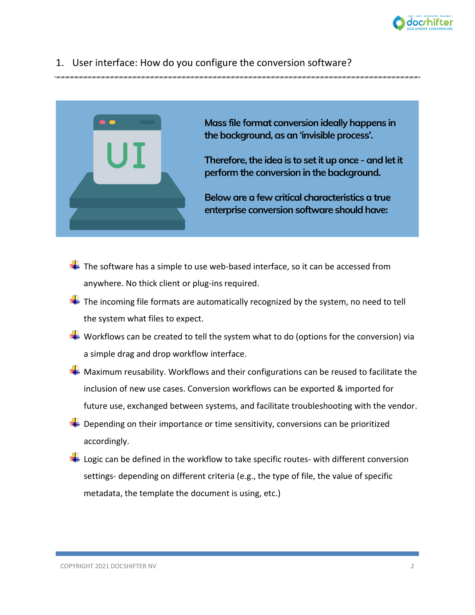

#### 1. User interface: How do you configure the conversion software?



Mass file format conversion ideally happens in the background, as an 'invisible process'.

Therefore, the idea is to set it up once - and let it perform the conversion in the background.

Below are a few critical characteristics a true enterprise conversion software should have:

- $\pm$  The software has a simple to use web-based interface, so it can be accessed from anywhere. No thick client or plug-ins required.
- $\ddot{\phantom{a}}$  The incoming file formats are automatically recognized by the system, no need to tell the system what files to expect.
- $\blacktriangleright$  Workflows can be created to tell the system what to do (options for the conversion) via a simple drag and drop workflow interface.
- $\blacktriangleright$  Maximum reusability. Workflows and their configurations can be reused to facilitate the inclusion of new use cases. Conversion workflows can be exported & imported for future use, exchanged between systems, and facilitate troubleshooting with the vendor.
- $\bigstar$  Depending on their importance or time sensitivity, conversions can be prioritized accordingly.
- $\ddot{\phantom{a}}$  Logic can be defined in the workflow to take specific routes- with different conversion settings- depending on different criteria (e.g., the type of file, the value of specific metadata, the template the document is using, etc.)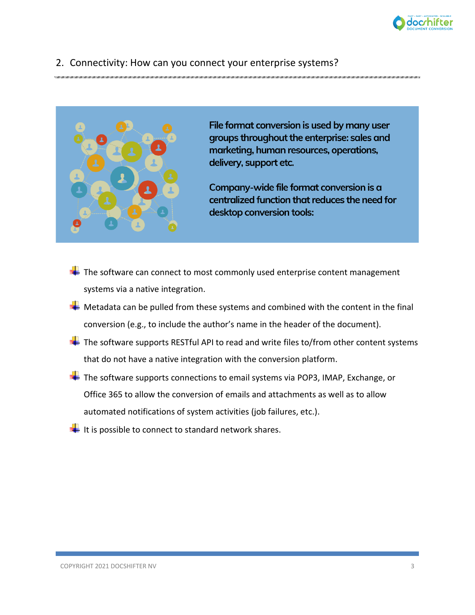

#### 2. Connectivity: How can you connect your enterprise systems?



File format conversion is used by many user groups throughout the enterprise: sales and marketing, human resources, operations, delivery, support etc.

Company-wide file format conversion is a centralized function that reduces the need for desktop conversion tools:

- $\frac{1}{2}$  The software can connect to most commonly used enterprise content management systems via a native integration.
- $\frac{1}{2}$  Metadata can be pulled from these systems and combined with the content in the final conversion (e.g., to include the author's name in the header of the document).
- $\pm$  The software supports RESTful API to read and write files to/from other content systems that do not have a native integration with the conversion platform.
- The software supports connections to email systems via POP3, IMAP, Exchange, or Office 365 to allow the conversion of emails and attachments as well as to allow automated notifications of system activities (job failures, etc.).
- $\ddagger$  It is possible to connect to standard network shares.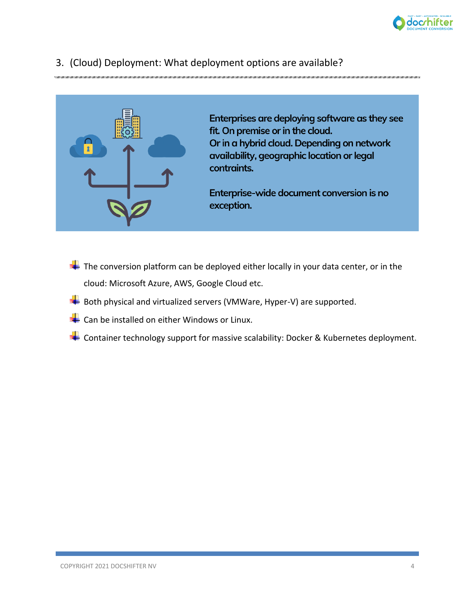

# 3. (Cloud) Deployment: What deployment options are available?



Enterprises are deploying software as they see fit. On premise or in the cloud. Or in a hybrid cloud. Depending on network availability, geographic location or legal contraints.

Enterprise-wide document conversion is no exception.

- $\overline{\textbf{+}}$  The conversion platform can be deployed either locally in your data center, or in the cloud: Microsoft Azure, AWS, Google Cloud etc.
- $\blacktriangle$  Both physical and virtualized servers (VMWare, Hyper-V) are supported.
- $\leftarrow$  Can be installed on either Windows or Linux.
- $\blacktriangleright$  Container technology support for massive scalability: Docker & Kubernetes deployment.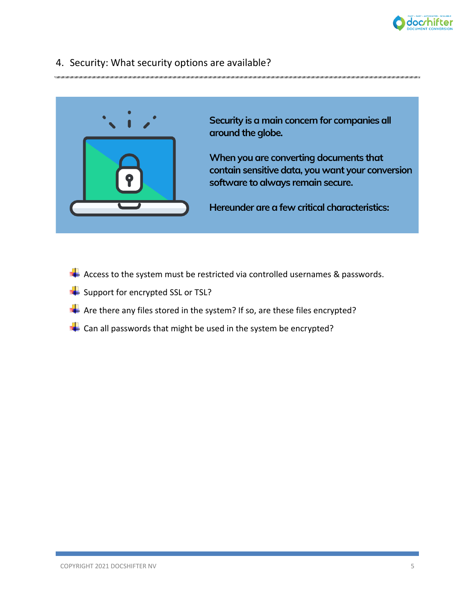

#### 4. Security: What security options are available?



Security is a main concern for companies all around the globe.

When you are converting documents that contain sensitive data, you want your conversion software to always remain secure.

Hereunder are a few critical characteristics:

- $\blacktriangle$  Access to the system must be restricted via controlled usernames & passwords.
- $\overline{\phantom{a}}$  Support for encrypted SSL or TSL?
- $\blacktriangle$  Are there any files stored in the system? If so, are these files encrypted?
- $\leftarrow$  Can all passwords that might be used in the system be encrypted?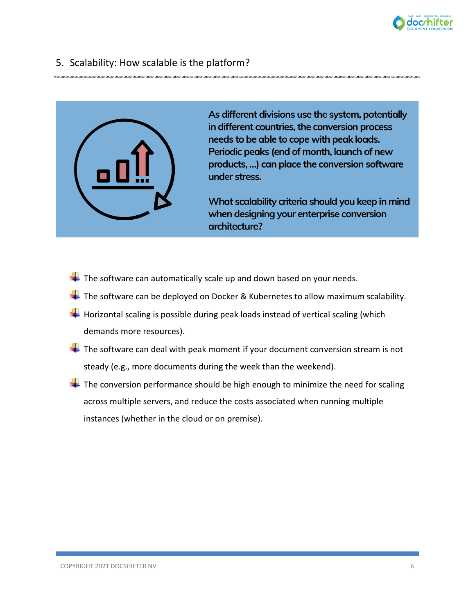

## 5. Scalability: How scalable is the platform?



As different divisions use the system, potentially in different countries, the conversion process needs to be able to cope with peak loads. Periodic peaks (end of month, launch of new products, ...) can place the conversion software under stress.

What scalability criteria should you keep in mind when designing your enterprise conversion architecture?

- $\ddot$  The software can automatically scale up and down based on your needs.
- $\blacktriangleright$  The software can be deployed on Docker & Kubernetes to allow maximum scalability.
- $\blacktriangle$  Horizontal scaling is possible during peak loads instead of vertical scaling (which demands more resources).
- $\frac{1}{2}$  The software can deal with peak moment if your document conversion stream is not steady (e.g., more documents during the week than the weekend).
- $\pm$  The conversion performance should be high enough to minimize the need for scaling across multiple servers, and reduce the costs associated when running multiple instances (whether in the cloud or on premise).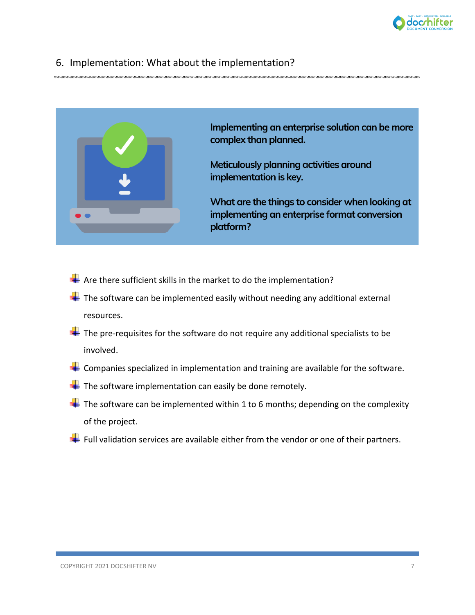

#### 6. Implementation: What about the implementation?



- $\frac{1}{\sqrt{1}}$  Are there sufficient skills in the market to do the implementation?
- $\frac{1}{2}$  The software can be implemented easily without needing any additional external resources.
- $\blacksquare$  The pre-requisites for the software do not require any additional specialists to be involved.
- $\leftarrow$  Companies specialized in implementation and training are available for the software.
- $\frac{1}{2}$  The software implementation can easily be done remotely.
- $\pm$  The software can be implemented within 1 to 6 months; depending on the complexity of the project.
- $\frac{1}{2}$  Full validation services are available either from the vendor or one of their partners.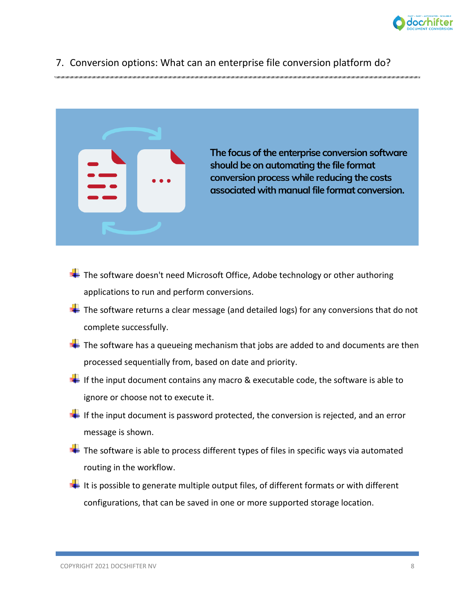

#### 7. Conversion options: What can an enterprise file conversion platform do?



The focus of the enterprise conversion software should be on automating the file format conversion process while reducing the costs associated with manual file format conversion.

- $\ddot{\phantom{1}}$  The software doesn't need Microsoft Office, Adobe technology or other authoring applications to run and perform conversions.
- $\ddot{+}$  The software returns a clear message (and detailed logs) for any conversions that do not complete successfully.
- $\ddot{\bullet}$  The software has a queueing mechanism that jobs are added to and documents are then processed sequentially from, based on date and priority.
- $\blacksquare$  If the input document contains any macro & executable code, the software is able to ignore or choose not to execute it.
- $\blacksquare$  If the input document is password protected, the conversion is rejected, and an error message is shown.
- $\frac{1}{2}$  The software is able to process different types of files in specific ways via automated routing in the workflow.
- $\pm$  It is possible to generate multiple output files, of different formats or with different configurations, that can be saved in one or more supported storage location.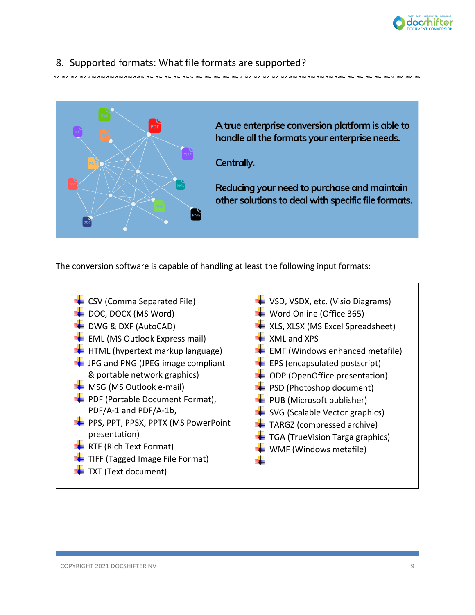

## 8. Supported formats: What file formats are supported?



The conversion software is capable of handling at least the following input formats:

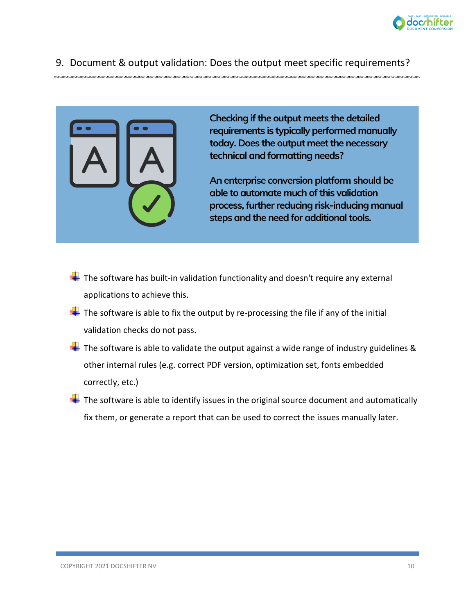

#### 9. Document & output validation: Does the output meet specific requirements?



Checking if the output meets the detailed requirements is typically performed manually today. Does the output meet the necessary technical and formatting needs?

An enterprise conversion platform should be able to automate much of this validation process, further reducing risk-inducing manual steps and the need for additional tools.

- $\pm$  The software has built-in validation functionality and doesn't require any external applications to achieve this.
- $\frac{1}{2}$  The software is able to fix the output by re-processing the file if any of the initial validation checks do not pass.
- $\frac{1}{2}$  The software is able to validate the output against a wide range of industry guidelines & other internal rules (e.g. correct PDF version, optimization set, fonts embedded correctly, etc.)
- $\frac{1}{\sqrt{2}}$  The software is able to identify issues in the original source document and automatically fix them, or generate a report that can be used to correct the issues manually later.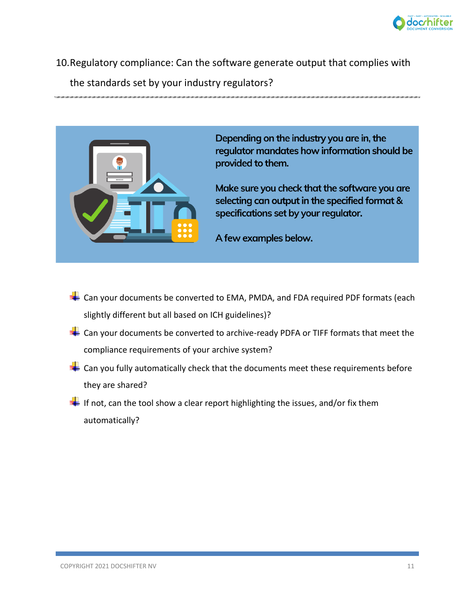

10.Regulatory compliance: Can the software generate output that complies with the standards set by your industry regulators?



Depending on the industry you are in, the regulator mandates how information should be provided to them.

Make sure you check that the software you are selecting can output in the specified format & specifications set by your regulator.

A few examples below.

- $\leftarrow$  Can your documents be converted to EMA, PMDA, and FDA required PDF formats (each slightly different but all based on ICH guidelines)?
- $\frac{1}{2}$  Can your documents be converted to archive-ready PDFA or TIFF formats that meet the compliance requirements of your archive system?
- $\leftarrow$  Can you fully automatically check that the documents meet these requirements before they are shared?
- $\blacksquare$  If not, can the tool show a clear report highlighting the issues, and/or fix them automatically?